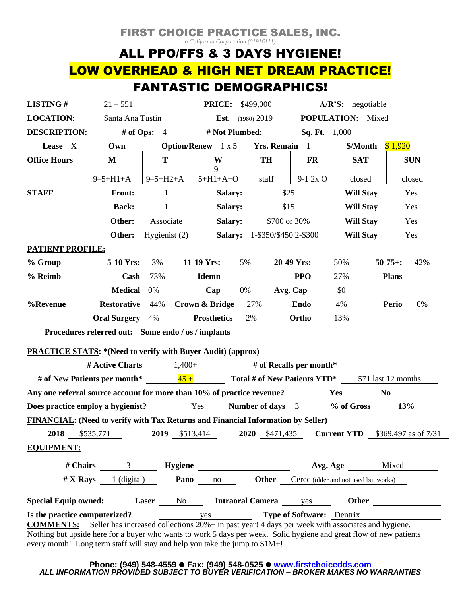## FIRST CHOICE PRACTICE SALES, INC.

*a California Corporation (01916111)*

# ALL PPO/FFS & 3 DAYS HYGIENE! LOW OVERHEAD & HIGH NET DREAM PRACTICE! FANTASTIC DEMOGRAPHICS!

| <b>LISTING#</b>                                                                                                                                                                                                                                                                                                             | $21 - 551$                  |                                  |                                                                               | <b>PRICE:</b> \$499,000                        |                   | A/R'S: negotiable                    |                |            |  |
|-----------------------------------------------------------------------------------------------------------------------------------------------------------------------------------------------------------------------------------------------------------------------------------------------------------------------------|-----------------------------|----------------------------------|-------------------------------------------------------------------------------|------------------------------------------------|-------------------|--------------------------------------|----------------|------------|--|
| <b>LOCATION:</b>                                                                                                                                                                                                                                                                                                            |                             | Santa Ana Tustin                 |                                                                               | <b>Est.</b> $(1980)$ 2019                      |                   | <b>POPULATION:</b> Mixed             |                |            |  |
| <b>DESCRIPTION:</b>                                                                                                                                                                                                                                                                                                         | # of Ops: $4$               |                                  |                                                                               | # Not Plumbed:                                 |                   | <b>Sq. Ft.</b> 1,000                 |                |            |  |
| Lease X                                                                                                                                                                                                                                                                                                                     | $\overline{\text{Own}}$     |                                  |                                                                               | <b>Option/Renew</b> 1 x 5 <b>Yrs. Remain</b> 1 |                   | \$/Month $$1,920$                    |                |            |  |
| <b>Office Hours</b>                                                                                                                                                                                                                                                                                                         | M                           | T                                | W<br>$9-$                                                                     | <b>TH</b>                                      | FR                | <b>SAT</b>                           |                | <b>SUN</b> |  |
|                                                                                                                                                                                                                                                                                                                             | $9 - 5 + H1 + A$   9-5+H2+A |                                  | $5+H1+A+O$                                                                    | staff                                          | $9-12xO$          | closed                               |                | closed     |  |
| <b>STAFF</b>                                                                                                                                                                                                                                                                                                                |                             | Front: 1                         |                                                                               | Salary:                                        | \$25              |                                      | Will Stay Yes  |            |  |
|                                                                                                                                                                                                                                                                                                                             |                             | <b>Back:</b> 1                   |                                                                               | Salary: \$15                                   |                   |                                      | Will Stay Yes  |            |  |
|                                                                                                                                                                                                                                                                                                                             |                             | <b>Other:</b> Associate          |                                                                               | <b>Salary:</b> \$700 or 30%                    |                   |                                      | Will Stay Yes  |            |  |
|                                                                                                                                                                                                                                                                                                                             |                             | <b>Other:</b> Hygienist (2)      |                                                                               | <b>Salary:</b> 1-\$350/\$450 2-\$300           |                   | Will Stay Yes                        |                |            |  |
| <b>PATIENT PROFILE:</b>                                                                                                                                                                                                                                                                                                     |                             |                                  |                                                                               |                                                |                   |                                      |                |            |  |
| % Group                                                                                                                                                                                                                                                                                                                     |                             |                                  | 5-10 Yrs: $3\%$ 11-19 Yrs: $5\%$ 20-49 Yrs: $50\%$                            |                                                |                   |                                      | $50-75+$ ; 42% |            |  |
| % Reimb                                                                                                                                                                                                                                                                                                                     |                             | Cash $73%$                       | <b>Idemn</b>                                                                  |                                                | <b>PPO</b>        | 27%                                  | <b>Plans</b>   |            |  |
|                                                                                                                                                                                                                                                                                                                             | <b>Medical</b> 0%           |                                  |                                                                               | Cap $0\%$ Avg. Cap $\$0$                       |                   |                                      |                |            |  |
| %Revenue                                                                                                                                                                                                                                                                                                                    |                             |                                  | <b>Restorative</b> 44% Crown & Bridge 27%                                     |                                                | Endo $4\%$        |                                      | Perio          | 6%         |  |
|                                                                                                                                                                                                                                                                                                                             |                             |                                  | <b>Oral Surgery</b> 4% <b>Prosthetics</b> 2%                                  |                                                | <b>Ortho</b> 13%  |                                      |                |            |  |
| Procedures referred out: Some endo / os / implants                                                                                                                                                                                                                                                                          |                             |                                  |                                                                               |                                                |                   |                                      |                |            |  |
| <b>PRACTICE STATS: *(Need to verify with Buyer Audit) (approx)</b>                                                                                                                                                                                                                                                          |                             |                                  |                                                                               |                                                |                   |                                      |                |            |  |
|                                                                                                                                                                                                                                                                                                                             |                             |                                  | # Active Charts $1,400+$ # of Recalls per month*                              |                                                |                   |                                      |                |            |  |
| # of New Patients per month* $\frac{45+}{25+}$ Total # of New Patients YTD* 571 last 12 months                                                                                                                                                                                                                              |                             |                                  |                                                                               |                                                |                   |                                      |                |            |  |
| Any one referral source account for more than 10% of practice revenue?<br>Yes<br>N <sub>0</sub>                                                                                                                                                                                                                             |                             |                                  |                                                                               |                                                |                   |                                      |                |            |  |
| Does practice employ a hygienist?                                                                                                                                                                                                                                                                                           |                             |                                  | Yes Number of days 3 % of Gross 13%                                           |                                                |                   |                                      |                |            |  |
| FINANCIAL: (Need to verify with Tax Returns and Financial Information by Seller)                                                                                                                                                                                                                                            |                             |                                  |                                                                               |                                                |                   |                                      |                |            |  |
|                                                                                                                                                                                                                                                                                                                             |                             |                                  | 2018 \$535,771 2019 \$513,414 2020 \$471,435 Current YTD \$369,497 as of 7/31 |                                                |                   |                                      |                |            |  |
| <b>EQUIPMENT:</b>                                                                                                                                                                                                                                                                                                           |                             |                                  |                                                                               |                                                |                   |                                      |                |            |  |
| $# \text{Chairs}$ 3                                                                                                                                                                                                                                                                                                         |                             | <b>Hygiene</b>                   |                                                                               |                                                | Mixed<br>Avg. Age |                                      |                |            |  |
|                                                                                                                                                                                                                                                                                                                             | $# X$ -Rays 1 (digital)     | Pano                             | no                                                                            | Other                                          |                   | Cerec (older and not used but works) |                |            |  |
| <b>Special Equip owned:</b><br><b>Intraoral Camera</b> yes<br>Laser<br>Other<br>No                                                                                                                                                                                                                                          |                             |                                  |                                                                               |                                                |                   |                                      |                |            |  |
| Is the practice computerized?                                                                                                                                                                                                                                                                                               | yes                         | <b>Type of Software:</b> Dentrix |                                                                               |                                                |                   |                                      |                |            |  |
| Seller has increased collections 20% + in past year! 4 days per week with associates and hygiene.<br><b>COMMENTS:</b><br>Nothing but upside here for a buyer who wants to work 5 days per week. Solid hygiene and great flow of new patients<br>every month! Long term staff will stay and help you take the jump to \$1M+! |                             |                                  |                                                                               |                                                |                   |                                      |                |            |  |

#### **Phone: (949) 548-4559** ⚫ **Fax: (949) 548-0525** ⚫ **[www.firstchoicedds.com](http://www.firstchoicedds.com/)** *ALL INFORMATION PROVIDED SUBJECT TO BUYER VERIFICATION – BROKER MAKES NO WARRANTIES*